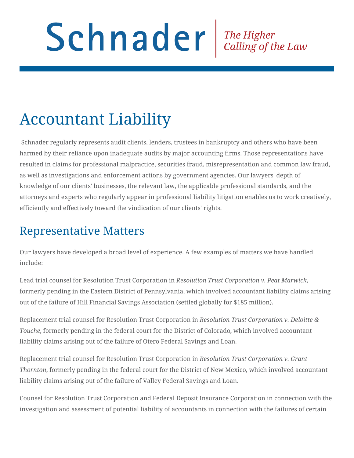## Schnader Fine Higher Calling of the Law

## Accountant Liability

 Schnader regularly represents audit clients, lenders, trustees in bankruptcy and others who have been harmed by their reliance upon inadequate audits by major accounting firms. Those representations have resulted in claims for professional malpractice, securities fraud, misrepresentation and common law fraud, as well as investigations and enforcement actions by government agencies. Our lawyers' depth of knowledge of our clients' businesses, the relevant law, the applicable professional standards, and the attorneys and experts who regularly appear in professional liability litigation enables us to work creatively, efficiently and effectively toward the vindication of our clients' rights.

## Representative Matters

Our lawyers have developed a broad level of experience. A few examples of matters we have handled include:

Lead trial counsel for Resolution Trust Corporation in *Resolution Trust Corporation v. Peat Marwick*, formerly pending in the Eastern District of Pennsylvania, which involved accountant liability claims arising out of the failure of Hill Financial Savings Association (settled globally for \$185 million).

Replacement trial counsel for Resolution Trust Corporation in *Resolution Trust Corporation v. Deloitte & Touche*, formerly pending in the federal court for the District of Colorado, which involved accountant liability claims arising out of the failure of Otero Federal Savings and Loan.

Replacement trial counsel for Resolution Trust Corporation in *Resolution Trust Corporation v. Grant Thornton*, formerly pending in the federal court for the District of New Mexico, which involved accountant liability claims arising out of the failure of Valley Federal Savings and Loan.

Counsel for Resolution Trust Corporation and Federal Deposit Insurance Corporation in connection with the investigation and assessment of potential liability of accountants in connection with the failures of certain